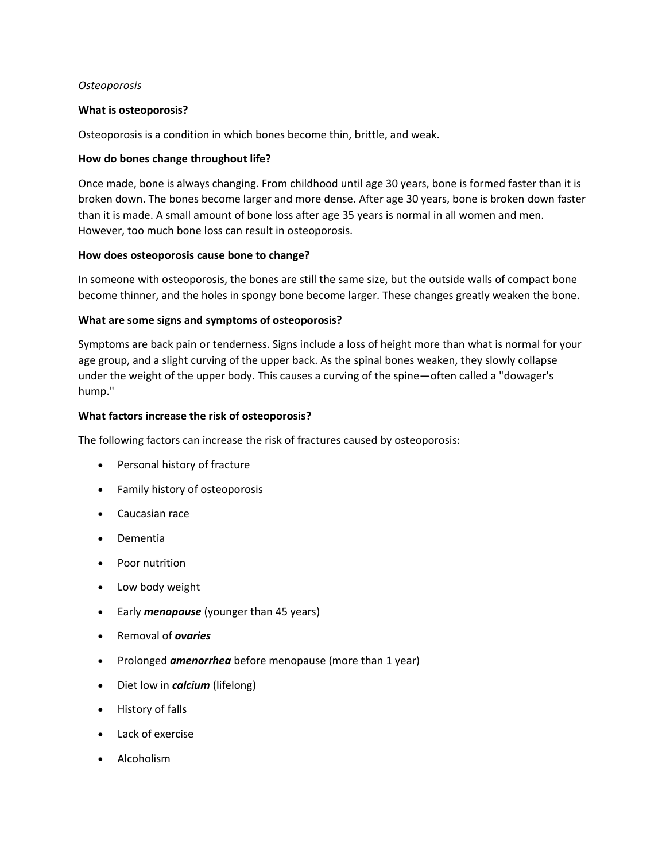### *Osteoporosis*

### **What is osteoporosis?**

Osteoporosis is a condition in which bones become thin, brittle, and weak.

### **How do bones change throughout life?**

Once made, bone is always changing. From childhood until age 30 years, bone is formed faster than it is broken down. The bones become larger and more dense. After age 30 years, bone is broken down faster than it is made. A small amount of bone loss after age 35 years is normal in all women and men. However, too much bone loss can result in osteoporosis.

#### **How does osteoporosis cause bone to change?**

In someone with osteoporosis, the bones are still the same size, but the outside walls of compact bone become thinner, and the holes in spongy bone become larger. These changes greatly weaken the bone.

### **What are some signs and symptoms of osteoporosis?**

Symptoms are back pain or tenderness. Signs include a loss of height more than what is normal for your age group, and a slight curving of the upper back. As the spinal bones weaken, they slowly collapse under the weight of the upper body. This causes a curving of the spine—often called a "dowager's hump."

### **What factors increase the risk of osteoporosis?**

The following factors can increase the risk of fractures caused by osteoporosis:

- Personal history of fracture
- Family history of osteoporosis
- Caucasian race
- Dementia
- Poor nutrition
- Low body weight
- Early *menopause* (younger than 45 years)
- Removal of *ovaries*
- Prolonged **amenorrhea** before menopause (more than 1 year)
- Diet low in *calcium* (lifelong)
- History of falls
- Lack of exercise
- Alcoholism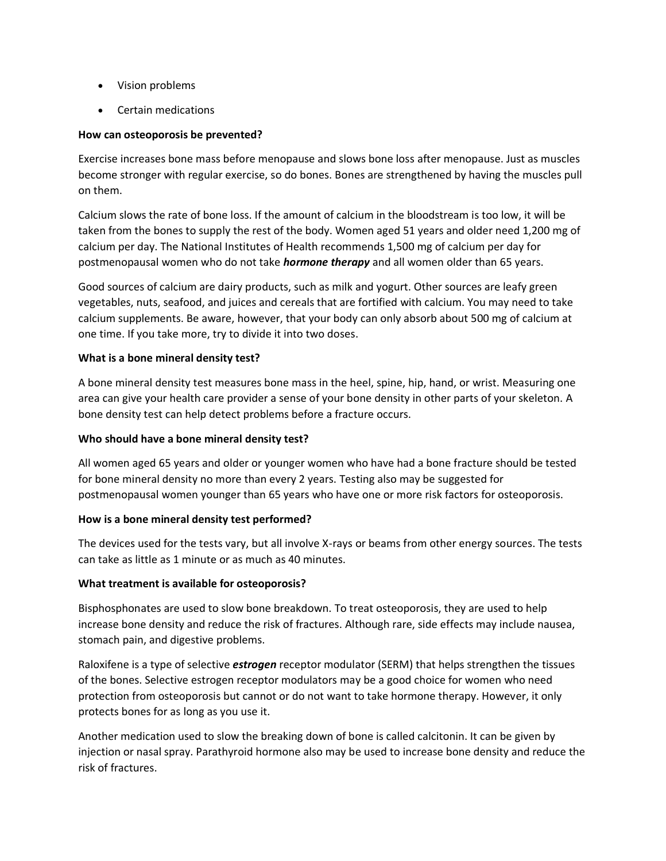- Vision problems
- Certain medications

# **How can osteoporosis be prevented?**

Exercise increases bone mass before menopause and slows bone loss after menopause. Just as muscles become stronger with regular exercise, so do bones. Bones are strengthened by having the muscles pull on them.

Calcium slows the rate of bone loss. If the amount of calcium in the bloodstream is too low, it will be taken from the bones to supply the rest of the body. Women aged 51 years and older need 1,200 mg of calcium per day. The National Institutes of Health recommends 1,500 mg of calcium per day for postmenopausal women who do not take *hormone therapy* and all women older than 65 years.

Good sources of calcium are dairy products, such as milk and yogurt. Other sources are leafy green vegetables, nuts, seafood, and juices and cereals that are fortified with calcium. You may need to take calcium supplements. Be aware, however, that your body can only absorb about 500 mg of calcium at one time. If you take more, try to divide it into two doses.

# **What is a bone mineral density test?**

A bone mineral density test measures bone mass in the heel, spine, hip, hand, or wrist. Measuring one area can give your health care provider a sense of your bone density in other parts of your skeleton. A bone density test can help detect problems before a fracture occurs.

# **Who should have a bone mineral density test?**

All women aged 65 years and older or younger women who have had a bone fracture should be tested for bone mineral density no more than every 2 years. Testing also may be suggested for postmenopausal women younger than 65 years who have one or more risk factors for osteoporosis.

# **How is a bone mineral density test performed?**

The devices used for the tests vary, but all involve X-rays or beams from other energy sources. The tests can take as little as 1 minute or as much as 40 minutes.

# **What treatment is available for osteoporosis?**

Bisphosphonates are used to slow bone breakdown. To treat osteoporosis, they are used to help increase bone density and reduce the risk of fractures. Although rare, side effects may include nausea, stomach pain, and digestive problems.

Raloxifene is a type of selective *estrogen* receptor modulator (SERM) that helps strengthen the tissues of the bones. Selective estrogen receptor modulators may be a good choice for women who need protection from osteoporosis but cannot or do not want to take hormone therapy. However, it only protects bones for as long as you use it.

Another medication used to slow the breaking down of bone is called calcitonin. It can be given by injection or nasal spray. Parathyroid hormone also may be used to increase bone density and reduce the risk of fractures.